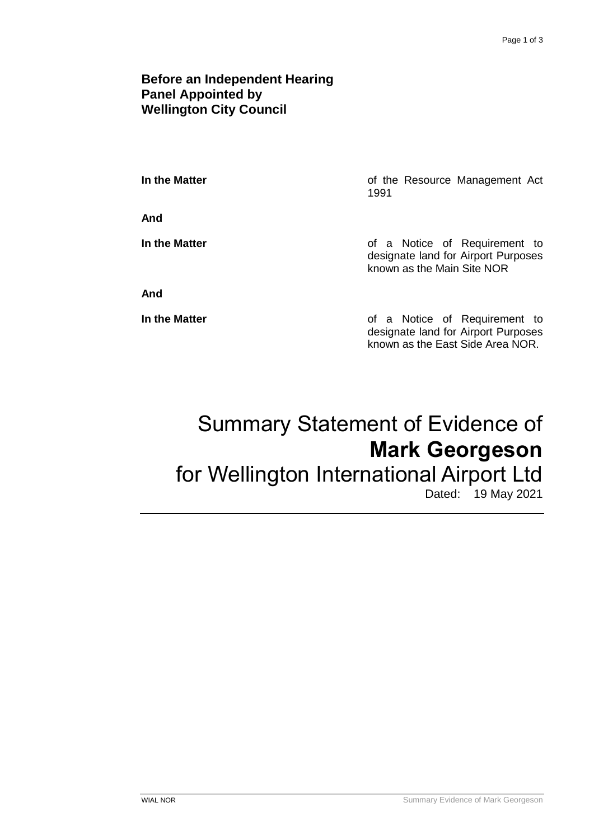### **Before an Independent Hearing Panel Appointed by Wellington City Council**

**In the Matter In the Matter of the Resource Management Act** 1991

**And**

**In the Matter In the Matter of a Notice of Requirement to** designate land for Airport Purposes known as the Main Site NOR

**And**

**In the Matter of a Notice of Requirement to** designate land for Airport Purposes known as the East Side Area NOR.

# Summary Statement of Evidence of **Mark Georgeson** for Wellington International Airport Ltd

# Dated: 19 May 2021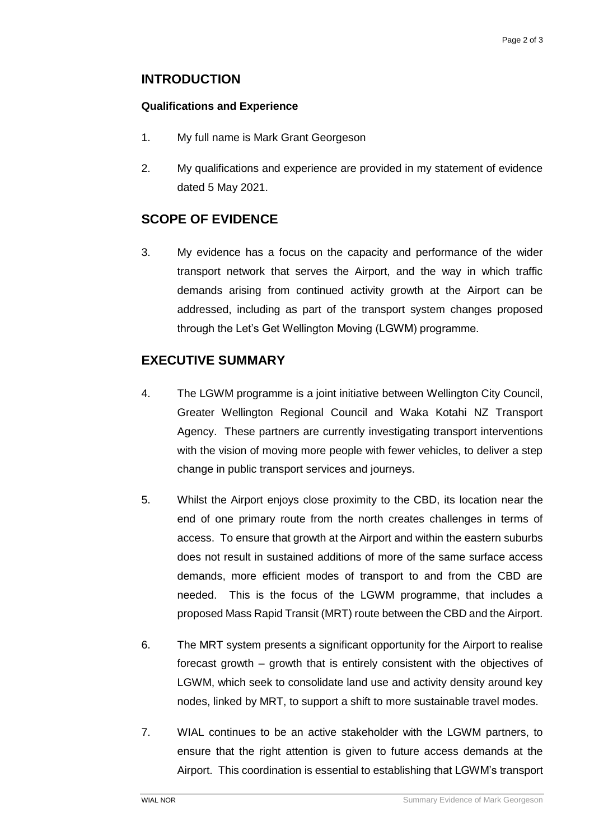## **INTRODUCTION**

#### **Qualifications and Experience**

- 1. My full name is Mark Grant Georgeson
- 2. My qualifications and experience are provided in my statement of evidence dated 5 May 2021.

# **SCOPE OF EVIDENCE**

3. My evidence has a focus on the capacity and performance of the wider transport network that serves the Airport, and the way in which traffic demands arising from continued activity growth at the Airport can be addressed, including as part of the transport system changes proposed through the Let's Get Wellington Moving (LGWM) programme.

## **EXECUTIVE SUMMARY**

- 4. The LGWM programme is a joint initiative between Wellington City Council, Greater Wellington Regional Council and Waka Kotahi NZ Transport Agency. These partners are currently investigating transport interventions with the vision of moving more people with fewer vehicles, to deliver a step change in public transport services and journeys.
- 5. Whilst the Airport enjoys close proximity to the CBD, its location near the end of one primary route from the north creates challenges in terms of access. To ensure that growth at the Airport and within the eastern suburbs does not result in sustained additions of more of the same surface access demands, more efficient modes of transport to and from the CBD are needed. This is the focus of the LGWM programme, that includes a proposed Mass Rapid Transit (MRT) route between the CBD and the Airport.
- 6. The MRT system presents a significant opportunity for the Airport to realise forecast growth – growth that is entirely consistent with the objectives of LGWM, which seek to consolidate land use and activity density around key nodes, linked by MRT, to support a shift to more sustainable travel modes.
- 7. WIAL continues to be an active stakeholder with the LGWM partners, to ensure that the right attention is given to future access demands at the Airport. This coordination is essential to establishing that LGWM's transport